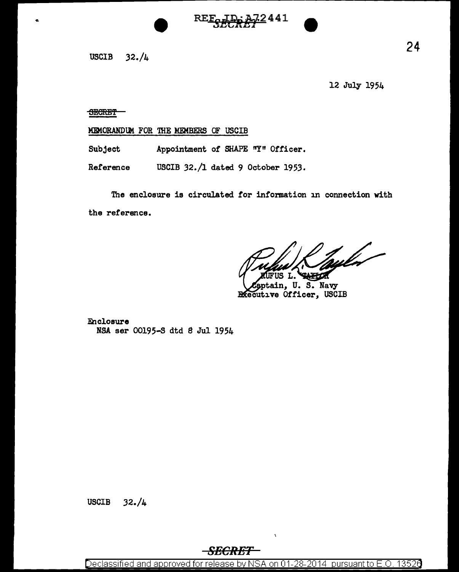

12 July 1954

## **SECRET**

## MEMORANDUM FOR THE MEMBERS OF USCIB

Subject Appointment of SHAPE "Y" Officer.

Reference USCIB 32./1 dated 9 October 1953.

The enclosure is circulated for information in connection with the reference.

hyler-

tain, U.S. Navy **Executive Officer, USCIB** 

2441

**Enclosure** NSA ser 00195-S dtd 8 Jul 1954

## *SECRET*

Declassified and approved for release by NSA on 01-28-2014 pursuant to E.O. 13526

 $\bar{\chi}$